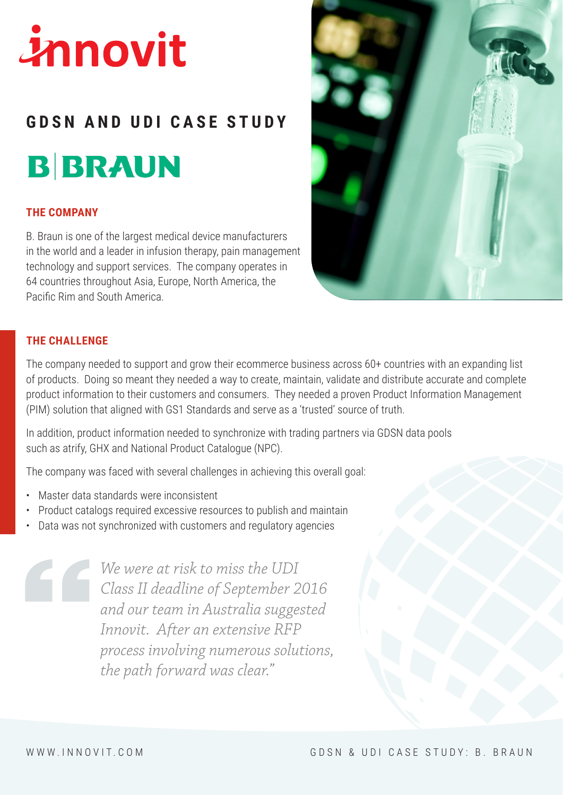# innovit

# **GDSN AND UDI CASE STUDY B BRAUN**

### **THE COMPANY**

B. Braun is one of the largest medical device manufacturers in the world and a leader in infusion therapy, pain management technology and support services. The company operates in 64 countries throughout Asia, Europe, North America, the Pacific Rim and South America.



### **THE CHALLENGE**

The company needed to support and grow their ecommerce business across 60+ countries with an expanding list of products. Doing so meant they needed a way to create, maintain, validate and distribute accurate and complete product information to their customers and consumers. They needed a proven Product Information Management (PIM) solution that aligned with GS1 Standards and serve as a 'trusted' source of truth.

In addition, product information needed to synchronize with trading partners via GDSN data pools such as atrify, GHX and National Product Catalogue (NPC).

The company was faced with several challenges in achieving this overall goal:

- Master data standards were inconsistent
- Product catalogs required excessive resources to publish and maintain
- Data was not synchronized with customers and regulatory agencies

*We were at risk to miss the UDI Class II deadline of September 2016 and our team in Australia suggested Innovit. After an extensive RFP process involving numerous solutions, the path forward was clear."*